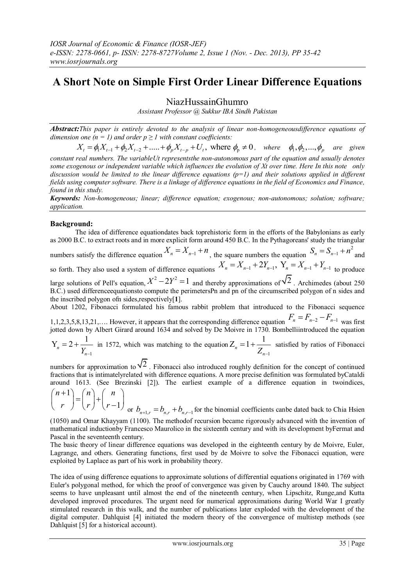# **A Short Note on Simple First Order Linear Difference Equations**

NiazHussainGhumro

*Assistant Professor @ Sukkur IBA Sindh Pakistan*

*Abstract:This paper is entirely devoted to the analysis of linear non-homogeneousdifference equations of dimension one*  $(n = 1)$  *and order*  $p \ge 1$  *with constant coefficients:* :This paper is entirely devoted to the analysis of linear non-homogeneousdifference equations of  $\alpha$  one  $(n = 1)$  and order  $p \ge 1$  with constant coefficients:<br> $X_t = \phi_1 X_{t-1} + \phi_2 X_{t-2} + \dots + \phi_p X_{t-p} + U_t$ , where  $\phi_p \neq 0$ ,

*constant real numbers. The variableUt representsthe non-autonomous part of the equation and usually denotes some exogenous or independent variable which influences the evolution of Xt over time. Here In this note only discussion would be limited to the linear difference equations (p=1) and their solutions applied in different fields using computer software. There is a linkage of difference equations in the field of Economics and Finance, found in this study.*

*Keywords: Non-homogeneous; linear; difference equation; exogenous; non-autonomous; solution; software; application.*

# **Background:**

The idea of difference equationdates back toprehistoric form in the efforts of the Babylonians as early as 2000 B.C. to extract roots and in more explicit form around 450 B.C. In the Pythagoreans' study the triangular numbers satisfy the difference equation  $X_n = X_{n-1} + n$ , the square numbers the equation  $S_n = S_{n-1} + n^2$  and numbers satisfy the difference equation  $X_n = X_{n-1} + n$ , the square numbers the equation  $S_n = S_{n-1} + n$  and so forth. They also used a system of difference equations  $X_n = X_{n-1} + 2Y_{n-1}$ ,  $Y_n = X_{n-1} + Y_{n-1}$  to produce large solutions of Pell's equation,  $X^2 - 2Y^2 = 1$  and thereby approximations of  $\sqrt{2}$ . Archimedes (about 250) B.C.) used differenceequationsto compute the perimetersPn and pn of the circumscribed polygon of n sides and the inscribed polygon ofn sides,respectively[**1**]. About 1202, Fibonacci formulated his famous rabbit problem that introduced to the Fibonacci sequence 1,1,2,3,5,8,13,21,.... However, it appears that the corresponding difference equation  $F_n = F_{n-2} - F_{n-1}$  was first

jotted down by Albert Girard around 1634 and solved by De Moivre in 1730. Bombelliintroduced the equation

1  $Y_n = 2 + \frac{1}{Y_n}$  $= 2 + \frac{1}{\sqrt{2}}$  in 1572, which was matching to the equation 1  $Z_n = 1 + \frac{1}{Z_{n-1}}$  $=1+\frac{1}{\sigma}$  satisfied by ratios of Fibonacci

numbers for approximation to  $\sqrt{2}$ . Fibonacci also introduced roughly definition for the concept of continued fractions that is intimatelyrelated with difference equations. A more precise definition was formulated byCataldi around 1613. (See Brezinski [2]). The earliest example of a difference equation in twoindices,

$$
\binom{n+1}{r} = \binom{n}{r} + \binom{n}{r-1}
$$
 or  $b_{n+1,r} = b_{n,r} + b_{n,r-1}$  for the binomial coefficients can be dated back to Chiai Hsien

(1050) and Omar Khayyam (1100). The methodof recursion became rigorously advanced with the invention of mathematical inductionby Francesco Maurolico in the sixteenth century and with its development byFermat and Pascal in the seventeenth century.

The basic theory of linear difference equations was developed in the eighteenth century by de Moivre, Euler, Lagrange, and others. Generating functions, first used by de Moivre to solve the Fibonacci equation, were exploited by Laplace as part of his work in probability theory.

The idea of using difference equations to approximate solutions of differential equations originated in 1769 with Euler's polygonal method, for which the proof of convergence was given by Cauchy around 1840. The subject seems to have unpleasant until almost the end of the nineteenth century, when Lipschitz, Runge,and Kutta developed improved procedures. The urgent need for numerical approximations during World War I greatly stimulated research in this walk, and the number of publications later exploded with the development of the digital computer. Dahlquist [4] initiated the modern theory of the convergence of multistep methods (see Dahlquist [5] for a historical account).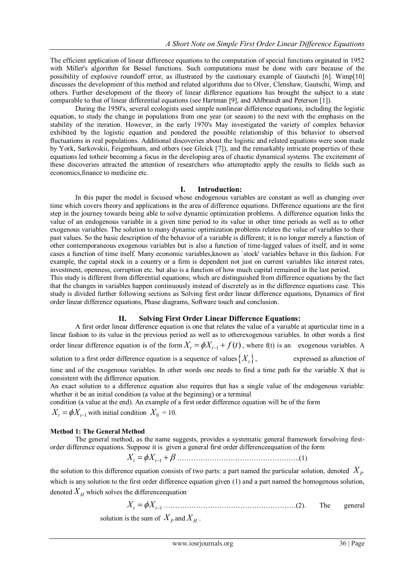The efficient application of linear difference equations to the computation of special functions orginated in 1952 with Miller's algorithm for Bessel functions. Such computations must be done with care because of the possibility of explosive roundoff error, as illustrated by the cautionary example of Gautschi [6]. Wimp[10] discusses the development of this method and related algorithms due to Olver, Clenshaw, Gautschi, Wimp, and others. Further development of the theory of linear difference equations has brought the subject to a state comparable to that of linear differential equations (see Hartman [9], and Ahlbrandt and Peterson [1]).

During the 1950's, several ecologists used simple nonlinear difference equations, including the logistic equation, to study the change in populations from one year (or season) to the next with the emphasis on the stability of the iteration. However, in the early 1970's May investigated the variety of complex behavior exhibited by the logistic equation and pondered the possible relationship of this behavior to observed fluctuations in real populations. Additional discoveries about the logistic and related equations were soon made by York, Sarkovskii, Feigenbaum, and others (see Gleick [7]), and the remarkably intricate properties of these equations led totheir becoming a focus in the developing area of chaotic dynamical systems. The excitement of these discoveries attracted the attention of researchers who attemptedto apply the results to fields such as economics,finance to medicine etc.

# **I. Introduction:**

In this paper the model is focused whose endogenous variables are constant as well as changing over time which covers theory and applications in the area of difference equations. Difference equations are the first step in the journey towards being able to solve dynamic optimization problems. A difference equation links the value of an endogenous variable in a given time period to its value in other time periods as well as to other exogenous variables. The solution to many dynamic optimization problems relates the value of variables to their past values. So the basic description of the behavior of a variable is different; it is no longer merely a function of other contemporaneous exogenous variables but is also a function of time-lagged values of itself, and in some cases a function of time itself. Many economic variables,known as `stock' variables behave in this fashion. For example, the capital stock in a country or a firm is dependent not just on current variables like interest rates, investment, openness, corruption etc. but also is a function of how much capital remained in the last period. This study is different from differential equations; which are distinguished from difference equations by the fact that the changes in variables happen continuously instead of discretely as in the difference equations case. This study is divided further following sections as Solving first order linear difference equations, Dynamics of first

# **II. Solving First Order Linear Difference Equations:**

A first order linear difference equation is one that relates the value of a variable at aparticular time in a linear fashion to its value in the previous period as well as to otherexogenous variables. In other words a first order linear difference equation is of the form  $X_t = \phi X_{t-1} + f(t)$ , where f(t) is an exogenous variables. A solution to a first order difference equation is a sequence of values  $\{X_t\}$ , *Xt*, expressed as afunction of time and of the exogenous variables. In other words one needs to find a time path for the variable X that is consistent with the difference equation.

An exact solution to a difference equation also requires that has a single value of the endogenous variable: whether it be an initial condition (a value at the beginning) or a terminal

condition (a value at the end). An example of a first order difference equation will be of the form

order linear difference equations, Phase diagrams, Software touch and conclusion.

 $X_t = \phi X_{t-1}$  with initial condition  $X_0 = 10$ .

# **Method 1: The General Method**

The general method, as the name suggests, provides a systematic general framework forsolving firstorder difference equations. Suppose it is given a general first order differenceequation of the form

*X X t t* <sup>1</sup> ……………………………………………..(1)

the solution to this difference equation consists of two parts: a part named the particular solution, denoted  $X_p$ which is any solution to the first order difference equation given (1) and a part named the homogenous solution, denoted  $X_H$  which solves the difference equation

 $X_t = \phi X_{t-1}$  ……………………………………………………………………(2). The general

solution is the sum of  $X_p$  and  $X_H$ .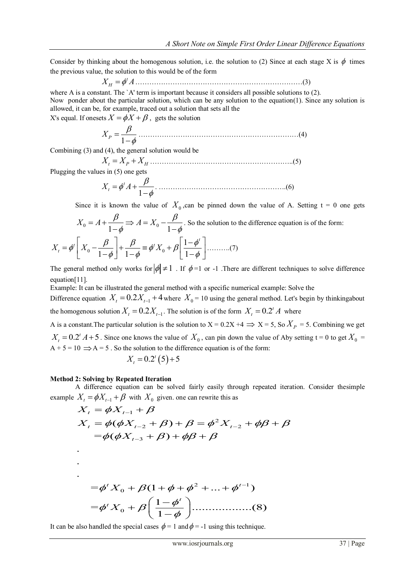Consider by thinking about the homogenous solution, i.e. the solution to (2) Since at each stage X is  $\phi$  times the previous value, the solution to this would be of the form

*<sup>t</sup> X A <sup>H</sup>* ………………………………………………………………(3)

where A is a constant. The `A' term is important because it considers all possible solutions to (2).

Now ponder about the particular solution, which can be any solution to the equation(1). Since any solution is allowed, it can be, for example, traced out a solution that sets all the

X's equal. If onesets  $X = \phi X + \beta$ , gets the solution

1 *XP* ……………………………………………………………(4)

Combining (3) and (4), the general solution would be

*X X X t P H* ……………………………………………………..(5)

Plugging the values in (5) one gets

$$
X_t = \phi^t A + \frac{\beta}{1 - \phi}.
$$
 (6)

Since it is known the value of 
$$
X_0
$$
, can be pinned down the value of A. Setting  $t = 0$  one gets  
\n
$$
X_0 = A + \frac{\beta}{1 - \phi} \Rightarrow A = X_0 - \frac{\beta}{1 - \phi}.
$$
 So the solution to the difference equation is of the form:  
\n
$$
X_t = \phi^t \left[ X_0 - \frac{\beta}{1 - \phi} \right] + \frac{\beta}{1 - \phi} \equiv \phi^t X_0 + \beta \left[ \frac{1 - \phi^t}{1 - \phi} \right] \dots \dots (7)
$$

The general method only works for  $|\phi| \neq 1$ . If  $\phi = 1$  or -1. There are different techniques to solve difference equation[11].

Example: It can be illustrated the general method with a specific numerical example: Solve the

Difference equation  $X_t = 0.2X_{t-1} + 4$  where  $X_0 = 10$  using the general method. Let's begin by thinkingabout the homogenous solution  $X_t = 0.2X_{t-1}$ . The solution is of the form  $X_t = 0.2^t A$  where

A is a constant. The particular solution is the solution to  $X = 0.2X + 4 \implies X = 5$ , So  $X_p = 5$ . Combining we get  $X_t = 0.2^t A + 5$ . Since one knows the value of  $X_0$ , can pin down the value of Aby setting t = 0 to get  $X_0$  =  $A + 5 = 10 \implies A = 5$ . So the solution to the difference equation is of the form:

$$
X_t = 0.2^t (5) + 5
$$

#### **Method 2: Solving by Repeated Iteration**

. .

A difference equation can be solved fairly easily through repeated iteration. Consider thesimple Finite equation can be solved<br>  $X_{t-1} + \beta$  with  $X_0$  given. on<br>  $\phi X_{t-1} + \beta$ erence equation can be so<br>  $\phi X_{t-1} + \beta$  with  $X_0$  given<br>  $= \phi X_{t-1} + \beta$ 

A difference equation can be solved fairly easily through repeated iteration. Co  
example 
$$
X_t = \phi X_{t-1} + \beta
$$
 with  $X_0$  given one can rewrite this as  

$$
X_t = \phi X_{t-1} + \beta
$$

$$
X_t = \phi(\phi X_{t-2} + \beta) + \beta = \phi^2 X_{t-2} + \phi \beta + \beta
$$

$$
= \phi(\phi X_{t-3} + \beta) + \phi \beta + \beta
$$
.

$$
= \phi^{t} X_{0} + \beta (1 + \phi + \phi^{2} + ... + \phi^{t-1})
$$

$$
= \phi^{t} X_{0} + \beta \left( \frac{1 - \phi^{t}}{1 - \phi} \right) \dots \dots \dots \dots (8)
$$

It can be also handled the special cases  $\phi = 1$  and  $\phi = -1$  using this technique.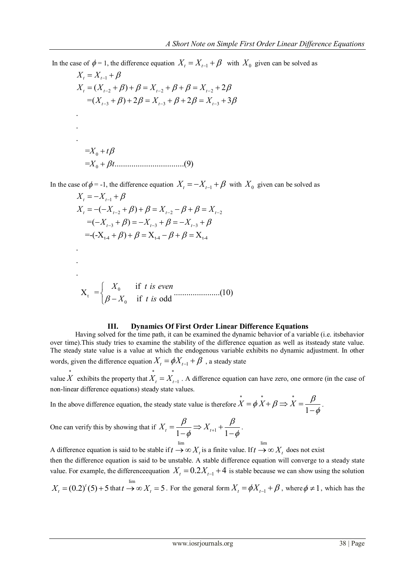In the case of  $\phi = 1$ , the difference equation  $X_t = X_{t-1} + \beta$  with  $X_0$  given can be solved as  $X_t = X_{t-1} + \beta$ 

$$
X_{t} = X_{t-1} + \beta
$$
  
\n
$$
X_{t} = (X_{t-2} + \beta) + \beta = X_{t-2} + \beta + \beta = X_{t-2} + 2\beta
$$
  
\n
$$
= (X_{t-3} + \beta) + 2\beta = X_{t-3} + \beta + 2\beta = X_{t-3} + 3\beta
$$
  
\n
$$
\vdots
$$
  
\n
$$
= X_{0} + t\beta
$$
  
\n
$$
= X_{0} + \beta t
$$
  
\n(9)

In the case of  $\phi$  = -1, the difference equation  $X_t = -X_{t-1} + \beta$  with  $X_0$  given can be solved as

e of 
$$
\phi
$$
 = -1, the difference equation  $X_t = -X_{t-1} + \beta$  w  
\n $X_t = -X_{t-1} + \beta$   
\n $X_t = -(-X_{t-2} + \beta) + \beta = X_{t-2} - \beta + \beta = X_{t-2}$   
\n $= (-X_{t-3} + \beta) = -X_{t-3} + \beta = -X_{t-3} + \beta$   
\n $= -(-X_{t-4} + \beta) + \beta = X_{t-4} - \beta + \beta = X_{t-4}$ 

. . .

$$
X_{t} = \begin{cases} X_{0} & \text{if } t \text{ is even} \\ \beta - X_{0} & \text{if } t \text{ is odd} \end{cases}
$$
(10)

### **III. Dynamics Of First Order Linear Difference Equations**

Having solved for the time path, it can be examined the dynamic behavior of a variable (i.e. itsbehavior over time).This study tries to examine the stability of the difference equation as well as itssteady state value. The steady state value is a value at which the endogenous variable exhibits no dynamic adjustment. In other words, given the difference equation  $X_t = \phi X_{t-1} + \beta$ , a steady state

value  $\stackrel{*}{X}$  exhibits the property that  $\overrightarrow{X}_t = \overrightarrow{X}_{t-1}$ . A difference equation can have zero, one ormore (in the case of non-linear difference equations) steady state values.

In the above difference equation, the steady state value is therefore \* \* \*  $\overrightarrow{X} = \phi \overrightarrow{X} + \beta \Rightarrow \overrightarrow{X} = \frac{\beta}{1-\alpha}$  $\phi$  $=\phi X + \beta \Rightarrow X = \frac{\beta}{1-\phi}.$ 

One can verify this by showing that if  $X_t = \frac{\beta}{1-\phi} \Rightarrow X_{t+1} + \frac{\beta}{1-\phi}$ .  $\overline{\phi} \Rightarrow X_{t+1} + \frac{r}{1-\phi}$ .  $=\frac{\beta}{1-t}\Rightarrow X_{t+1}+\frac{\beta}{1-t}$  $\frac{\mu}{-\phi} \Rightarrow X_{t+1} + \frac{\mu}{1-\phi}.$ 

A difference equation is said to be stable if lim  $t \to \infty$   $X_t$  is a finite value. If lim  $t \to \infty$   $X_t$  does not exist then the difference equation is said to be unstable. A stable difference equation will converge to a steady state value. For example, the difference equation  $X_t = 0.2X_{t-1} + 4$  is stable because we can show using the solution lim

$$
X_t = (0.2)^t (5) + 5
$$
 that  $t \rightarrow \infty$   $X_t = 5$ . For the general form  $X_t = \phi X_{t-1} + \beta$ , where  $\phi \neq 1$ , which has the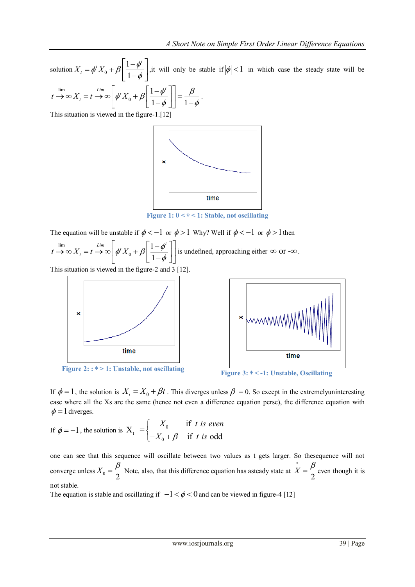solution  $X_t = \phi^t X_0$ 1 1  $X_t = \phi^t X_0 + \beta \left| \frac{1 - \phi^t}{1 - \phi^t} \right|$  $\phi$  $\left\lceil 1-\phi^t \right\rceil_{1}$ Solution  $X_t = \phi^t X_0 + \beta \left[ \frac{1 - \phi^t}{1 - \phi} \right]$ , it will only be stable if  $|\phi| < 1$  in which case the steady state will be <br>  $\lim_{t \to \infty} X_t = t \to \infty \left[ \phi^t X_0 + \beta \left[ \frac{1 - \phi^t}{1 - \phi} \right] \right] = \frac{\beta}{1 - \phi}.$ lim  $\lim_{t \to \infty} \frac{L}{X_t} = t \to \infty \left[ \phi^t X_0 + \beta \left[ \frac{1 - \phi^t}{1 - \phi} \right] \right] = \frac{\beta}{1 - \phi}.$ 

$$
t \to \infty \, X_t = t \to \infty \left[ \phi^t X_0 + \beta \left[ \frac{1 - \phi^t}{1 - \phi} \right] \right] = \frac{\beta}{1 - \phi}.
$$
  
This situation is viewed in the figure-1 [12]

This situation is viewed in the figure-1.[12]



**Figure 1:**  $0 < \phi < 1$ : Stable, not oscillating

The equation will be unstable if  $\phi < -1$  or  $\phi > 1$  Why? Well if  $\phi < -1$  or  $\phi > 1$  then

lim  $\boldsymbol{0}$ 1 1  $\begin{bmatrix} \textit{Lim} \\ \textit{at } \mathbf{v} \end{bmatrix}$   $\begin{bmatrix} \textit{d}^t & \textit{d}^t \end{bmatrix}$ The equation will be unstable if  $\phi < -1$  or  $\phi > 1$ <br>  $t \to \infty$   $X_t = t \to \infty$   $\left[ \phi^t X_0 + \beta \left[ \frac{1 - \phi^t}{1 - \phi} \right] \right]$  is und is undefined, approaching either  $\infty$  or  $-\infty$ . This situation is viewed in the figure-2 and 3 [12].



**Figure 2:** :  $\phi > 1$ : Unstable, not oscillating<br>**Figure 3:**  $\phi < -1$ : Unstable, Oscillating



If  $\phi = 1$ , the solution is  $X_t = X_0 + \beta t$ . This diverges unless  $\beta = 0$ . So except in the extremelyuninteresting case where all the Xs are the same (hence not even a difference equation perse), the difference equation with  $\phi = 1$  diverges.

If 
$$
\phi = -1
$$
, the solution is  $X_t = \begin{cases} X_0 & \text{if } t \text{ is even} \\ -X_0 + \beta & \text{if } t \text{ is odd} \end{cases}$ 

one can see that this sequence will oscillate between two values as t gets larger. So thesequence will not converge unless  $X_0 = \frac{P}{2}$  $X_0 = \frac{\beta}{2}$  Note, also, that this difference equation has asteady state at \* 2  $X = \frac{\beta}{2}$  even though it is not stable.

The equation is stable and oscillating if  $-1 < \phi < 0$  and can be viewed in figure-4 [12]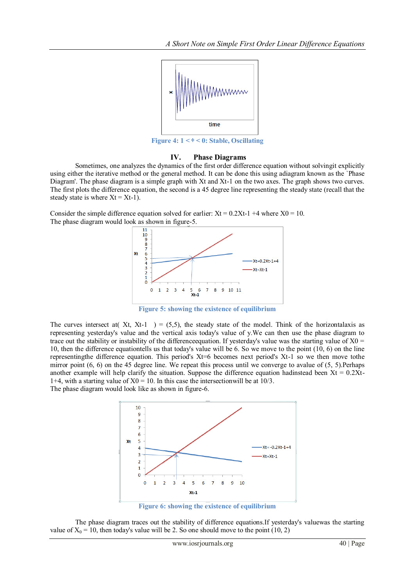

**Figure 4: 1 < ᶲ < 0: Stable, Oscillating**

## **IV. Phase Diagrams**

Sometimes, one analyzes the dynamics of the first order difference equation without solvingit explicitly using either the iterative method or the general method. It can be done this using adiagram known as the `Phase Diagram'. The phase diagram is a simple graph with Xt and Xt-1 on the two axes. The graph shows two curves. The first plots the difference equation, the second is a 45 degree line representing the steady state (recall that the steady state is where  $Xt = Xt-1$ .

Consider the simple difference equation solved for earlier:  $Xt = 0.2Xt-1 + 4$  where  $X0 = 10$ . The phase diagram would look as shown in figure-5.



**Figure 5: showing the existence of equilibrium**

The curves intersect at  $(Xt, Xt-1) = (5,5)$ , the steady state of the model. Think of the horizontalaxis as representing yesterday's value and the vertical axis today's value of y.We can then use the phase diagram to trace out the stability or instability of the difference equation. If yesterday's value was the starting value of  $X0 =$ 10, then the difference equationtells us that today's value will be 6. So we move to the point (10, 6) on the line representingthe difference equation. This period's Xt=6 becomes next period's Xt-1 so we then move tothe mirror point (6, 6) on the 45 degree line. We repeat this process until we converge to avalue of (5, 5).Perhaps another example will help clarify the situation. Suppose the difference equation hadinstead been  $Xt = 0.2Xt$ -1+4, with a starting value of  $X0 = 10$ . In this case the intersection will be at 10/3.

The phase diagram would look like as shown in figure-6.



**Figure 6: showing the existence of equilibrium**

The phase diagram traces out the stability of difference equations.If yesterday's valuewas the starting value of  $X_0 = 10$ , then today's value will be 2. So one should move to the point (10, 2)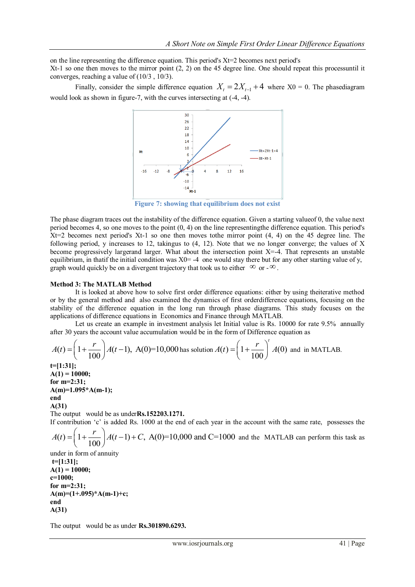on the line representing the difference equation. This period's  $Xt=2$  becomes next period's Xt-1 so one then moves to the mirror point  $(2, 2)$  on the 45 degree line. One should repeat this processuntil it converges, reaching a value of (10/3 , 10/3).

Finally, consider the simple difference equation  $X_t = 2X_{t-1} + 4$  where  $X0 = 0$ . The phasediagram would look as shown in figure-7, with the curves intersecting at (-4, -4).



**Figure 7: showing that equilibrium does not exist**

The phase diagram traces out the instability of the difference equation. Given a starting valueof 0, the value next period becomes 4, so one moves to the point (0, 4) on the line representingthe difference equation. This period's  $Xt=2$  becomes next period's  $Xt-1$  so one then moves to the mirror point  $(4, 4)$  on the 45 degree line. The following period, y increases to 12, takingus to (4, 12). Note that we no longer converge; the values of X become progressively largerand larger. What about the intersection point X=-4. That represents an unstable equilibrium, in that if the initial condition was  $X0 = -4$  one would stay there but for any other starting value of y, graph would quickly be on a divergent trajectory that took us to either  $\infty$  or  $-\infty$ .

#### **Method 3: The MATLAB Method**

It is looked at above how to solve first order difference equations: either by using theiterative method or by the general method and also examined the dynamics of first orderdifference equations, focusing on the stability of the difference equation in the long run through phase diagrams. This study focuses on the applications of difference equations in Economics and Finance through MATLAB.

Let us create an example in investment analysis let Initial value is Rs. 10000 for rate 9.5% annually

after 30 years the account value accumulation would be in the form of Difference equation as  
\n
$$
A(t) = \left(1 + \frac{r}{100}\right)A(t-1), A(0)=10,000 \text{ has solution } A(t) = \left(1 + \frac{r}{100}\right)^{t}A(0) \text{ and in MATLAB.}
$$
\n
$$
t= [1:31];
$$

**A(1) = 10000; for m=2:31; A(m)=1.095\*A(m-1); end A(31)**

The output would be as under**Rs.152203.1271.**

If contribution 'c' is added Rs. 1000 at the end of each year in the account with the same rate, possesses the

contribution 'c' is added Rs. 1000 at the end of each year in t<br>  $(t) = \left(1 + \frac{r}{100}\right) A(t-1) + C$ , A(0)=10,000 and C=1000 *r* The output would be as under **Rs.15220**<br> *A* (*t*) =  $\left(1 + \frac{r}{100}\right)A(t-1) + C$ , A(0) and the MATLAB can perform this task as

under in form of annuity **t=[1:31]; A(1) = 10000; c=1000; for m=2:31; A(m)=(1+.095)\*A(m-1)+c; end A(31)**

The output would be as under **Rs.301890.6293.**